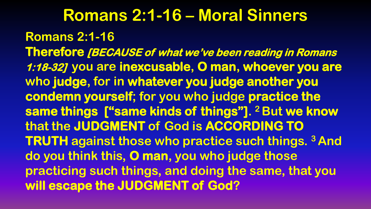**Romans 2:1-16 – Moral Sinners Romans 2:1-16 Therefore [BECAUSE of what we've been reading in Romans 1:18-32] you are inexcusable, O man, whoever you are who judge, for in whatever you judge another you condemn yourself; for you who judge practice the same things ["same kinds of things"]. <sup>2</sup> But we know that the JUDGMENT of God is ACCORDING TO TRUTH against those who practice such things. <sup>3</sup> And do you think this, O man, you who judge those practicing such things, and doing the same, that you will escape the JUDGMENT of God?**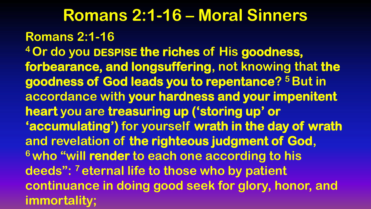**Romans 2:1-16 – Moral Sinners Romans 2:1-16 <sup>4</sup> Or do you DESPISE the riches of His goodness, forbearance, and longsuffering, not knowing that the goodness of God leads you to repentance? <sup>5</sup> But in accordance with your hardness and your impenitent heart you are treasuring up ('storing up' or 'accumulating') for yourself wrath in the day of wrath and revelation of the righteous judgment of God, <sup>6</sup> who "will render to each one according to his deeds": <sup>7</sup> eternal life to those who by patient continuance in doing good seek for glory, honor, and immortality;**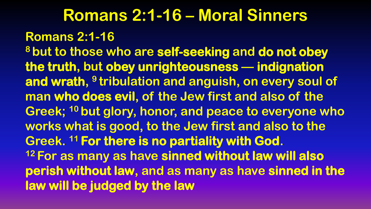**Romans 2:1-16 – Moral Sinners Romans 2:1-16 <sup>8</sup> but to those who are self-seeking and do not obey the truth, but obey unrighteousness — indignation and wrath, 9 tribulation and anguish, on every soul of man who does evil, of the Jew first and also of the Greek; <sup>10</sup> but glory, honor, and peace to everyone who works what is good, to the Jew first and also to the Greek. <sup>11</sup> For there is no partiality with God. <sup>12</sup> For as many as have sinned without law will also perish without law, and as many as have sinned in the law will be judged by the law**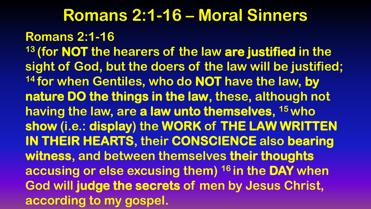#### **Romans 2:1-16**

**<sup>13</sup> (for NOT the hearers of the law are justified in the sight of God, but the doers of the law will be justified; <sup>14</sup> for when Gentiles, who do NOT have the law, by nature DO the things in the law, these, although not having the law, are a law unto themselves, <sup>15</sup> who show (i.e.: display) the WORK of THE LAW WRITTEN IN THEIR HEARTS, their CONSCIENCE also bearing witness, and between themselves their thoughts accusing or else excusing them) <sup>16</sup> in the DAY when God will judge the secrets of men by Jesus Christ, according to my gospel.**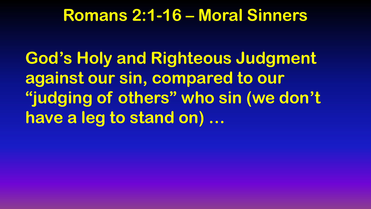**God's Holy and Righteous Judgment against our sin, compared to our "judging of others" who sin (we don't have a leg to stand on) …**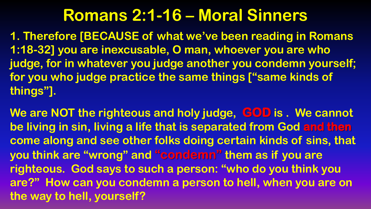**1. Therefore [BECAUSE of what we've been reading in Romans 1:18-32] you are inexcusable, O man, whoever you are who judge, for in whatever you judge another you condemn yourself; for you who judge practice the same things ["same kinds of things"].**

**We are NOT the righteous and holy judge, GOD is . We cannot be living in sin, living a life that is separated from God and then come along and see other folks doing certain kinds of sins, that you think are "wrong" and "condemn" them as if you are righteous. God says to such a person: "who do you think you are?" How can you condemn a person to hell, when you are on the way to hell, yourself?**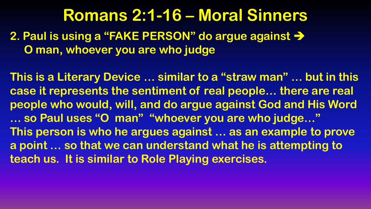**2. Paul is using a "FAKE PERSON" do argue against O man, whoever you are who judge**

**This is a Literary Device … similar to a "straw man" … but in this case it represents the sentiment of real people… there are real people who would, will, and do argue against God and His Word … so Paul uses "O man" "whoever you are who judge…" This person is who he argues against … as an example to prove a point … so that we can understand what he is attempting to teach us. It is similar to Role Playing exercises.**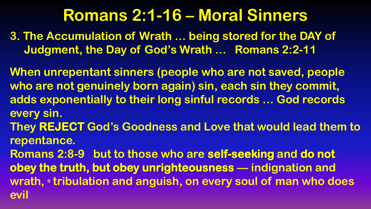**3. The Accumulation of Wrath … being stored for the DAY of Judgment, the Day of God's Wrath … Romans 2:2-11**

**When unrepentant sinners (people who are not saved, people who are not genuinely born again) sin, each sin they commit, adds exponentially to their long sinful records … God records every sin.**

**They REJECT God's Goodness and Love that would lead them to repentance.**

**Romans 2:8-9 but to those who are self-seeking and do not obey the truth, but obey unrighteousness — indignation and wrath, <sup>9</sup> tribulation and anguish, on every soul of man who does evil**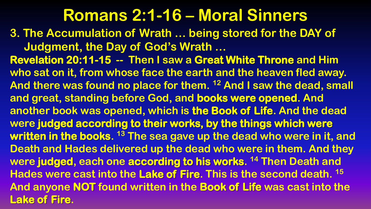**3. The Accumulation of Wrath … being stored for the DAY of Judgment, the Day of God's Wrath … Revelation 20:11-15 -- Then I saw a Great White Throne and Him who sat on it, from whose face the earth and the heaven fled away. And there was found no place for them. <sup>12</sup> And I saw the dead, small and great, standing before God, and books were opened. And another book was opened, which is the Book of Life. And the dead were judged according to their works, by the things which were written in the books. <sup>13</sup> The sea gave up the dead who were in it, and Death and Hades delivered up the dead who were in them. And they were judged, each one according to his works. <sup>14</sup> Then Death and Hades were cast into the Lake of Fire. This is the second death. <sup>15</sup> And anyone NOT found written in the Book of Life was cast into the Lake of Fire.**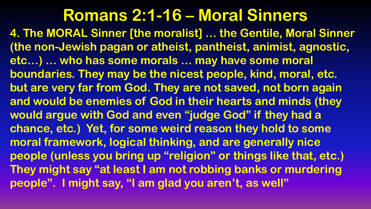**4. The MORAL Sinner [the moralist] … the Gentile, Moral Sinner (the non-Jewish pagan or atheist, pantheist, animist, agnostic, etc…) … who has some morals … may have some moral boundaries. They may be the nicest people, kind, moral, etc. but are very far from God. They are not saved, not born again and would be enemies of God in their hearts and minds (they would argue with God and even "judge God" if they had a chance, etc.) Yet, for some weird reason they hold to some moral framework, logical thinking, and are generally nice people (unless you bring up "religion" or things like that, etc.) They might say "at least I am not robbing banks or murdering people". I might say, "I am glad you aren't, as well"**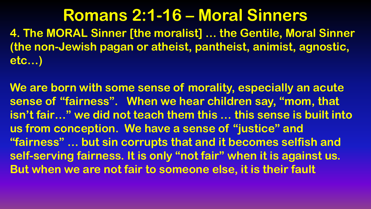**4. The MORAL Sinner [the moralist] … the Gentile, Moral Sinner (the non-Jewish pagan or atheist, pantheist, animist, agnostic, etc…)** 

**We are born with some sense of morality, especially an acute sense of "fairness". When we hear children say, "mom, that isn't fair…" we did not teach them this … this sense is built into us from conception. We have a sense of "justice" and "fairness" … but sin corrupts that and it becomes selfish and self-serving fairness. It is only "not fair" when it is against us. But when we are not fair to someone else, it is their fault**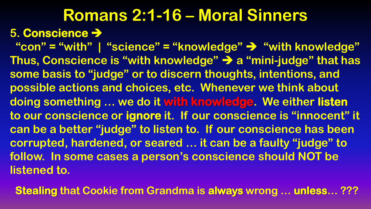#### **Romans 2:1-16 – Moral Sinners 5. Conscience**

 **"con" = "with" | "science" = "knowledge" "with knowledge" Thus, Conscience is "with knowledge" a "mini-judge" that has some basis to "judge" or to discern thoughts, intentions, and possible actions and choices, etc. Whenever we think about doing something … we do it with knowledge. We either listen to our conscience or ignore it. If our conscience is "innocent" it can be a better "judge" to listen to. If our conscience has been corrupted, hardened, or seared … it can be a faulty "judge" to follow. In some cases a person's conscience should NOT be listened to.**

 **Stealing that Cookie from Grandma is always wrong … unless… ???**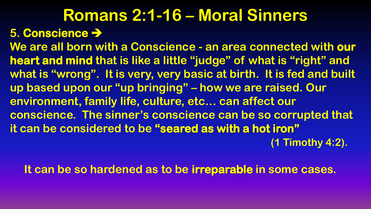#### **5. Conscience**

**We are all born with a Conscience - an area connected with our heart and mind that is like a little "judge" of what is "right" and what is "wrong". It is very, very basic at birth. It is fed and built up based upon our "up bringing" – how we are raised. Our environment, family life, culture, etc… can affect our conscience. The sinner's conscience can be so corrupted that it can be considered to be "seared as with a hot iron"** 

 **(1 Timothy 4:2).** 

 **It can be so hardened as to be irreparable in some cases.**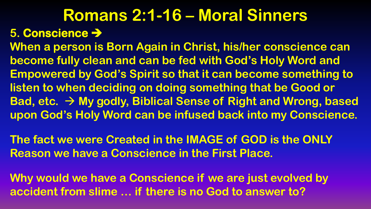#### **Romans 2:1-16 – Moral Sinners 5. Conscience**

**When a person is Born Again in Christ, his/her conscience can become fully clean and can be fed with God's Holy Word and Empowered by God's Spirit so that it can become something to listen to when deciding on doing something that be Good or Bad, etc. My godly, Biblical Sense of Right and Wrong, based upon God's Holy Word can be infused back into my Conscience.**

**The fact we were Created in the IMAGE of GOD is the ONLY Reason we have a Conscience in the First Place.**

**Why would we have a Conscience if we are just evolved by accident from slime … if there is no God to answer to?**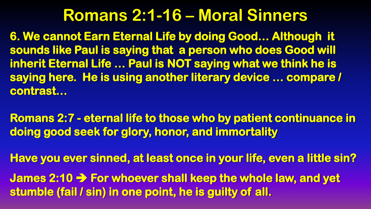**6. We cannot Earn Eternal Life by doing Good… Although it sounds like Paul is saying that a person who does Good will inherit Eternal Life … Paul is NOT saying what we think he is saying here. He is using another literary device … compare / contrast…** 

**Romans 2:7 - eternal life to those who by patient continuance in doing good seek for glory, honor, and immortality** 

**Have you ever sinned, at least once in your life, even a little sin?** 

**James 2:10 For whoever shall keep the whole law, and yet stumble (fail / sin) in one point, he is guilty of all.**